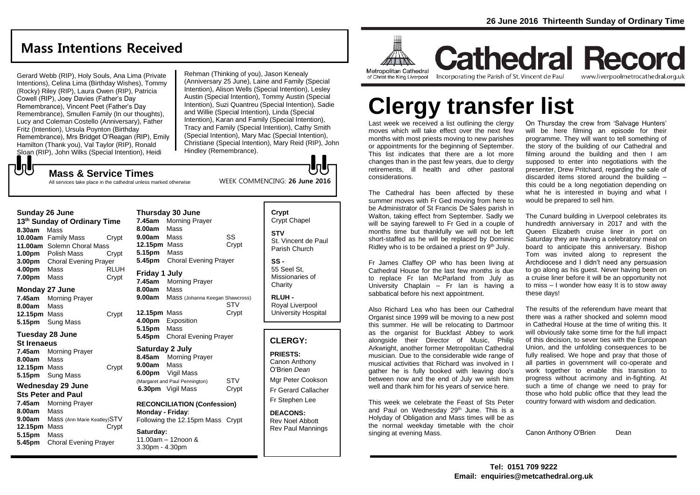# **Mass Intentions Received**

Gerard Webb (RIP), Holy Souls, Ana Lima (Private Intentions), Celina Lima (Birthday Wishes), Tommy (Rocky) Riley (RIP), Laura Owen (RIP), Patricia Cowell (RIP), Joey Davies (Father's Day Remembrance), Vincent Peet (Father's Day Remembrance), Smullen Family (In our thoughts), Lucy and Coleman Costello (Anniversary), Father Fritz (Intention), Ursula Poynton (Birthday Remembrance), Mrs Bridget O'Reagan (RIP), Emily Hamilton (Thank you), Val Taylor (RIP), Ronald Sloan (RIP), John Wilks (Special Intention), Heidi

Rehman (Thinking of you), Jason Kenealy (Anniversary 25 June), Laine and Family (Special Intention), Alison Wells (Special Intention), Lesley Austin (Special Intention), Tommy Austin (Special Intention), Suzi Quantreu (Special Intention), Sadie and Willie (Special Intention), Linda (Special Intention), Karan and Family (Special Intention), Tracy and Family (Special Intention), Cathy Smith (Special Intention), Mary Mac (Special Intention), Christiane (Special Intention), Mary Reid (RIP), John Hindley (Remembrance).

WEEK COMMENCING: **26 June 2016**

#### もし **Mass & Service Times**

All services take place in the cathedral unless marked otherwise

#### **Sunday 26 June**

**13th Sunday of Ordinary Time 8.30am** Mass **10.00am** Family Mass Crypt **11.00am** Solemn Choral Mass **1.00pm** Polish Mass Crypt **3.00pm** Choral Evening Prayer **4.00pm** Mass RLUH **7.00pm** Mass Crypt

#### **Monday 27 June**

**7.45am** Morning Prayer **8.00am** Mass **12.15pm** Mass Crypt **5.15pm** Sung Mass

#### **Tuesday 28 June**

#### **St Irenaeus**

**7.45am** Morning Prayer **8.00am** Mass **12.15pm** Mass Crypt **5.15pm** Sung Mass

#### **Wednesday 29 June Sts Peter and Paul**

**7.45am** Morning Prayer **8.00am** Mass **9.00am** Mass (Ann Marie Keatley)STV **12.15pm** Mass Crypt **5.15pm** Mass **5.45pm** Choral Evening Prayer

**9.00am** Mass SS **12.15pm** Mass Crypt **5.15pm** Mass **5.45pm** Choral Evening Prayer **Friday 1 July 7.45am** Morning Prayer **8.00am** Mass **9.00am** Mass (Johanna Keegan Shawcross) STV **12.15pm** Mass Crypt **4.00pm** Exposition **5.15pm** Mass **5.45pm** Choral Evening Prayer **Saturday 2 July 8.45am** Morning Prayer **9.00am** Mass **6.00pm** Vigil Mass (Margaret and Paul Pennington) STV **6.30pm** Vigil Mass Crypt

**Thursday 30 June 7.45am** Morning Prayer **8.00am** Mass

**RECONCILIATION (Confession) Monday - Friday**: Following the 12.15pm Mass Crypt

**Saturday:** 11.00am – 12noon & 3.30pm - 4.30pm

**Crypt**  Crypt Chapel **STV** St. Vincent de Paul Parish Church

lolc

**SS -** 55 Seel St, Missionaries of **Charity** 

**RLUH -** Royal Liverpool University Hospital

### **CLERGY:**

**PRIESTS:** Canon Anthony O'Brien *Dean* Mgr Peter Cookson

Fr Gerard Callacher Fr Stephen Lee

**DEACONS:** Rev Noel Abbott Rev Paul Mannings



**Cathedral Record** Incorporating the Parish of St. Vincent de Paul www.liverpoolmetrocathedral.org.uk

# **Clergy transfer list**

Last week we received a list outlining the clergy moves which will take effect over the next few months with most priests moving to new parishes or appointments for the beginning of September. This list indicates that there are a lot more changes than in the past few years, due to clergy retirements, ill health and other pastoral considerations.

The Cathedral has been affected by these summer moves with Fr Ged moving from here to be Administrator of St Francis De Sales parish in Walton, taking effect from September. Sadly we will be saying farewell to Fr Ged in a couple of months time but thankfully we will not be left short-staffed as he will be replaced by Dominic Ridley who is to be ordained a priest on 9<sup>th</sup> July.

Fr James Claffey OP who has been living at Cathedral House for the last few months is due to replace Fr Ian McParland from July as University Chaplain – Fr Ian is having a sabbatical before his next appointment.

Also Richard Lea who has been our Cathedral Organist since 1999 will be moving to a new post this summer. He will be relocating to Dartmoor as the organist for Buckfast Abbey to work alongside their Director of Music, Philip Arkwright, another former Metropolitan Cathedral musician. Due to the considerable wide range of musical activities that Richard was involved in I gather he is fully booked with leaving doo's between now and the end of July we wish him well and thank him for his years of service here.

This week we celebrate the Feast of Sts Peter and Paul on Wednesday 29<sup>th</sup> June. This is a Holyday of Obligation and Mass times will be as the normal weekday timetable with the choir singing at evening Mass.

On Thursday the crew from 'Salvage Hunters' will be here filming an episode for their programme. They will want to tell something of the story of the building of our Cathedral and filming around the building and then I am supposed to enter into negotiations with the presenter, Drew Pritchard, regarding the sale of discarded items stored around the building – this could be a long negotiation depending on what he is interested in buving and what I would be prepared to sell him.

The Cunard building in Liverpool celebrates its hundredth anniversary in 2017 and with the Queen Elizabeth cruise liner in port on Saturday they are having a celebratory meal on board to anticipate this anniversary. Bishop Tom was invited along to represent the Archdiocese and I didn't need any persuasion to go along as his guest. Never having been on a cruise liner before it will be an opportunity not to miss – I wonder how easy It is to stow away these days!

The results of the referendum have meant that there was a rather shocked and solemn mood in Cathedral House at the time of writing this. It will obviously take some time for the full impact of this decision, to sever ties with the European Union, and the unfolding consequences to be fully realised. We hope and pray that those of all parties in government will co-operate and work together to enable this transition to progress without acrimony and in-fighting. At such a time of change we need to pray for those who hold public office that they lead the country forward with wisdom and dedication.

Canon Anthony O'Brien Dean